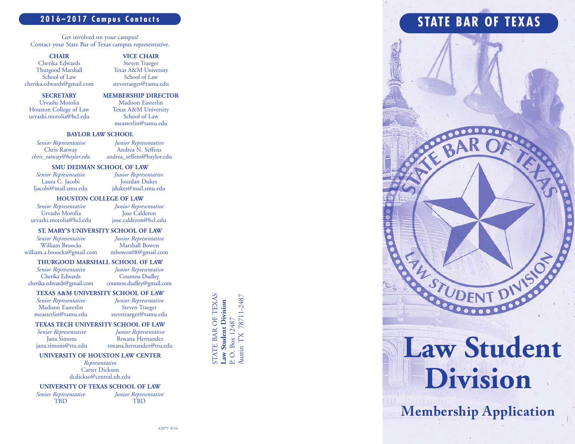### **2 0 1 6 – 2 0 1 7 C a m p u s C o n t a c t s**

Get involved on your campus! Contact your State Bar of Texas campus representative.

### **C HAI R**

Cherika Edwards Thurgood Marshall School of Law cherika.edwards@gmail.com

### **VICE CHAIR** Steven Traeger Texas A&M University School of Law stevetraeger@tamu.edu

### **S E C RE TARY**

Urvashi Morolia Houston College of Law urvashi.morolia@hcl.edu **MEMBERSHIP DIRECTOR** Madison Easterlin Texas A&M University School of Law measterlin@tamu.edu

### **BAYLOR LAW SCHOOL**

*Se n i o r Rep res e n ta ti v e* Chris Ratway *ch ris\_ ra tw ay @ b ay lo r. edu*

*Ju n i o r Rep res e n ta ti v e* Andrea N. Seffens andrea\_seffens@baylor.edu

*Ju n i o r Rep res e n ta ti v e*

### **S M U D E D MAN S C H O O L O F LAW**

*Senior Representative* Laura C. Jacobi ljacobi@mail.smu.edu

Jourdan Dukes jdukes@mail.smu.edu

### **HOUSTON COLLEGE OF LAW**

*Se n i o r Rep res e n ta ti v e* Urvashi Morolia urvashi.morolia@hcl.edu

*Ju n i o r Rep res e n ta ti v e* Jose Calderon jose.calderon@hcl.edu

### **ST. MARY'S UNIVERSITY SCHOOL OF LAW**

*Se n i o r Rep res e n ta ti v e* William Broocks william.a.broocks@gmail.com

*Ju n i o r Rep res e n ta ti v e* Marshall Bowen mbowen08@gmail.com

### **THURGOOD MARSHALL SCHOOL OF LAW**

*Senior* Representative Cherika Edwards cherika.edwards@gmail.com

*Junior Representative* Countess Dudley countess.dudley@gmail.com

> *Ju n i o r Rep res e n ta ti v e* Steven Traeger stevetraeger@tamu.edu

### **TEXAS A&M UNIVERSITY SCHOOL OF LAW**

*Senior Representative* Madison Easterlin measterlin@tamu.edu

### **TEXAS TECH UNIVERSITY SCHOOL OF LAW**

*Senior Representative* Jana Simons jana.simons@ttu.edu

*Ju n i o r Rep res e n ta ti v e* Roxana Hernandez roxana.hernandez@ttu.edu

### UNIVERSITY OF HOUSTON LAW CENTER

*Rep res e n ta ti v e* Carter Dickson dcdickso@central.uh.edu

### UNIVERSITY OF TEXAS SCHOOL OF LAW

*Se n i o r Rep res e n ta ti v e* T B D

*Ju n i o r Rep res e n ta ti v e* T B D

STATE BAR OF TEXAS STATE BAR OF TEXAS Austin TX 78711-2487 Austin TX 78711-2487 Law Student Division **Law Student Division** P. O. Box 12487 P. O. Box 12487

## STATE BAR OF TEXAS



# Division

**Membership Application**